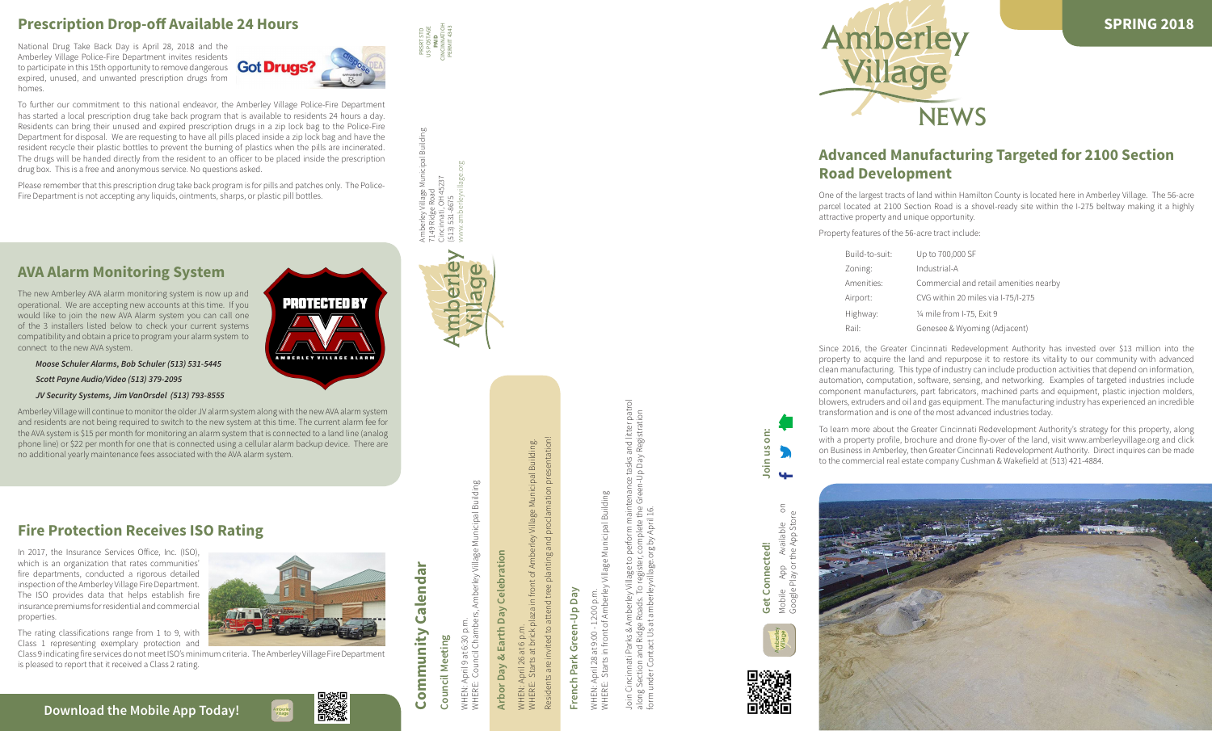



Building Amberley Village Municipal Building www.amberleyvillage.org 145237 Cincinnati, OH 45237 7149 Ridge Road (513) 531-8675

mberley

 $\mathbf \omega$ 

**Allage** 

# **Council Meeting Council Meeting**

Building WHERE: Council Chambers, Amberley Village Municipal Building hicipal mberley Village WHEN: April 9 at 6:30 p.m. MHEN: April 9 at 6:30 p.n<br>MHERE: Council Chamb





Calendar **Community Calendar** Community

## **Arbor Day & Earth Day Celebration** Celebration Earth Day ઍ **Arbor Day**

: April 26 at 6 p.m.<br>E: Starts at brick pl WHEN: April 26 at 6 p.m. WHEN: A<br>WHERE:

Building. Residents are invited to attend tree planting and proclamation presentation! WHERE: Starts at brick plaza in front of Amberley Village Municipal Building. Municipal Village  $\sigma$ in front plaza nts are invited to atter Resider

**Get Connected!**

Get Connected!

Mobile App Available on

4

 $\overline{5}$ 



**Join us on:**

oin us

ön:

# French Park Green-Up Day **French Park Green-Up Day**

pal Building WHERE: Starts in front of Amberley Village Municipal Building Municip 88 villa p.m WHEN: April 28 at 9:00 - 12:00 p.m. WHEN: April 28 at 9:00 - 12:00 p<br>WHERE: Starts in front of Amb

and litter patrol<br>y Registration Join Cincinnati Parks & Amberley Village to perform maintenance tasks and litter patrol along Section and Ridge Roads. To register, complete the Green-Up Day Registration tasks  $\frac{1}{2}$ maintenance<br>re the Greenform under Contact Us at amberleyvillage.org by April 16.  $\overline{O}$ Village iati Parks

## **Prescription Drop-off Available 24 Hours**

National Drug Take Back Day is April 28, 2018 and the Amberley Village Police-Fire Department invites residents to participate in this 15th opportunity to remove dangerous **Got Drugs?** expired, unused, and unwanted prescription drugs from homes.



PROTECTED BY

**MBERLEY VILLAGE ALI** 

In 2017, the Insurance Services Office, Inc. (ISO) which is an organization that rates communities' fire departments, conducted a rigorous detailed inspection of the Amberley Village Fire Department. The ISO provides data that helps establish fire insurance premiums for residential and commercial properties.

To further our commitment to this national endeavor, the Amberley Village Police-Fire Department has started a local prescription drug take back program that is available to residents 24 hours a day. Residents can bring their unused and expired prescription drugs in a zip lock bag to the Police-Fire Department for disposal. We are requesting to have all pills placed inside a zip lock bag and have the resident recycle their plastic bottles to prevent the burning of plastics when the pills are incinerated. The drugs will be handed directly from the resident to an officer to be placed inside the prescription drug box. This is a free and anonymous service. No questions asked.

Please remember that this prescription drug take back program is for pills and patches only. The Police-Fire Department is not accepting any liquids, ointments, sharps, or plastic pill bottles.

## **Fire Protection Receives ISO Rating**

The rating classifications range from 1 to 9, with Class 1 representing exemplary protection and

### Class 9 indicating fire services do not meet ISO's minimum criteria. The Amberley Village Fire Department

is pleased to report that it received a Class 2 rating.



## **AVA Alarm Monitoring System**

The new Amberley AVA alarm monitoring system is now up and operational. We are accepting new accounts at this time. If you would like to join the new AVA Alarm system you can call one of the 3 installers listed below to check your current systems compatibility and obtain a price to program your alarm system to connect to the new AVA system.

*Moose Schuler Alarms, Bob Schuler (513) 531-5445*

*Scott Payne Audio/Video (513) 379-2095*

#### *JV Security Systems, Jim VanOrsdel (513) 793-8555*

Amberley Village will continue to monitor the older JV alarm system along with the new AVA alarm system and residents are not being required to switch to the new system at this time. The current alarm fee for the AVA system is \$15 per month for monitoring an alarm system that is connected to a land line (analog phone line) or \$22 per month for one that is connected using a cellular alarm backup device. There are no additional yearly maintenance fees associated with the AVA alarm system.

# **Advanced Manufacturing Targeted for 2100 Section**

# **Road Development**

One of the largest tracts of land within Hamilton County is located here in Amberley Village. The 56-acre parcel located at 2100 Section Road is a shovel-ready site within the I-275 beltway making it a highly attractive property and unique opportunity.

Property features of the 56-acre tract include:

- Build-to-suit: Up to 700,000 SF
- Zoning: Industrial-A
- Amenities: Commercial and retail amenities nearby
- Airport: CVG within 20 miles via I-75/I-275
- Highway: ¼ mile from I-75, Exit 9
- Rail: Genesee & Wyoming (Adjacent)

Since 2016, the Greater Cincinnati Redevelopment Authority has invested over \$13 million into the property to acquire the land and repurpose it to restore its vitality to our community with advanced clean manufacturing. This type of industry can include production activities that depend on information, automation, computation, software, sensing, and networking. Examples of targeted industries include component manufacturers, part fabricators, machined parts and equipment, plastic injection molders, blowers, extruders and oil and gas equipment. The manufacturing industry has experienced an incredible transformation and is one of the most advanced industries today.

To learn more about the Greater Cincinnati Redevelopment Authority's strategy for this property, along with a property profile, brochure and drone fly-over of the land, visit www.amberleyvillage.org and click on Business in Amberley, then Greater Cincinnati Redevelopment Authority. Direct inquires can be made to the commercial real estate company Cushman & Wakefield at (513) 421-4884.